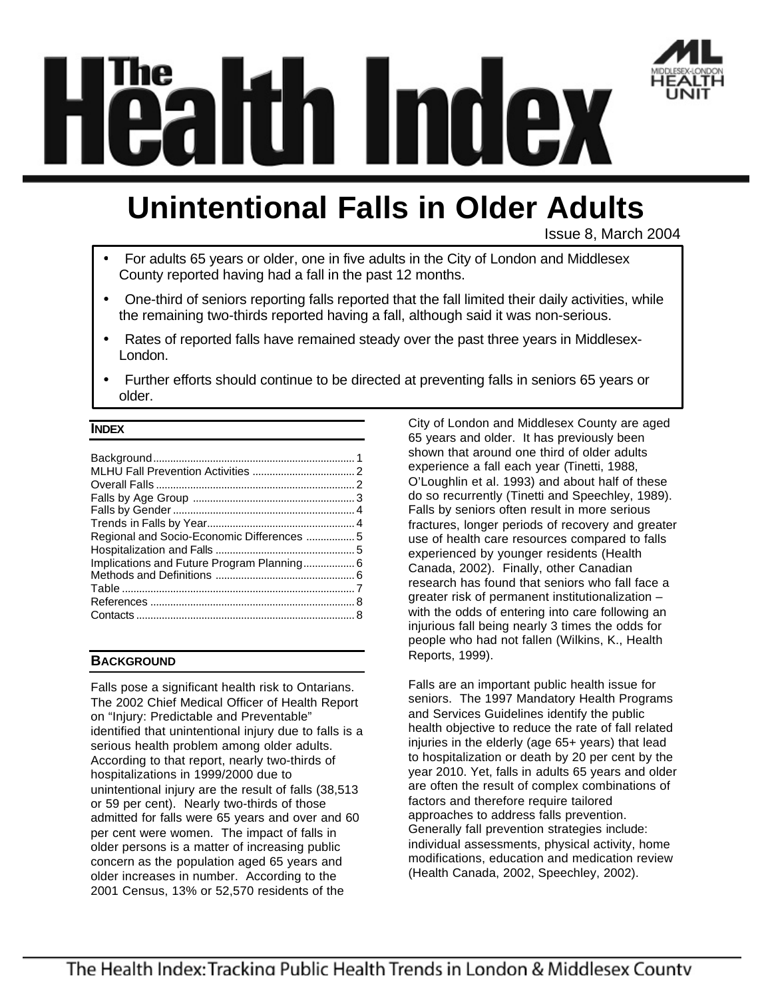

# **Unintentional Falls in Older Adults**

Issue 8, March 2004

- For adults 65 years or older, one in five adults in the City of London and Middlesex County reported having had a fall in the past 12 months.
- One-third of seniors reporting falls reported that the fall limited their daily activities, while the remaining two-thirds reported having a fall, although said it was non-serious.
- Rates of reported falls have remained steady over the past three years in Middlesex-London.
- Further efforts should continue to be directed at preventing falls in seniors 65 years or older.

# **INDEX**

| Implications and Future Program Planning 6 |  |
|--------------------------------------------|--|
|                                            |  |
|                                            |  |
|                                            |  |
|                                            |  |
|                                            |  |

# **BACKGROUND**

Falls pose a significant health risk to Ontarians. The 2002 Chief Medical Officer of Health Report on "Injury: Predictable and Preventable" identified that unintentional injury due to falls is a serious health problem among older adults. According to that report, nearly two-thirds of hospitalizations in 1999/2000 due to unintentional injury are the result of falls (38,513 or 59 per cent). Nearly two-thirds of those admitted for falls were 65 years and over and 60 per cent were women. The impact of falls in older persons is a matter of increasing public concern as the population aged 65 years and older increases in number. According to the 2001 Census, 13% or 52,570 residents of the

City of London and Middlesex County are aged 65 years and older. It has previously been shown that around one third of older adults experience a fall each year (Tinetti, 1988, O'Loughlin et al. 1993) and about half of these do so recurrently (Tinetti and Speechley, 1989). Falls by seniors often result in more serious fractures, longer periods of recovery and greater use of health care resources compared to falls experienced by younger residents (Health Canada, 2002). Finally, other Canadian research has found that seniors who fall face a greater risk of permanent institutionalization – with the odds of entering into care following an injurious fall being nearly 3 times the odds for people who had not fallen (Wilkins, K., Health Reports, 1999).

Falls are an important public health issue for seniors. The 1997 Mandatory Health Programs and Services Guidelines identify the public health objective to reduce the rate of fall related injuries in the elderly (age 65+ years) that lead to hospitalization or death by 20 per cent by the year 2010. Yet, falls in adults 65 years and older are often the result of complex combinations of factors and therefore require tailored approaches to address falls prevention. Generally fall prevention strategies include: individual assessments, physical activity, home modifications, education and medication review (Health Canada, 2002, Speechley, 2002).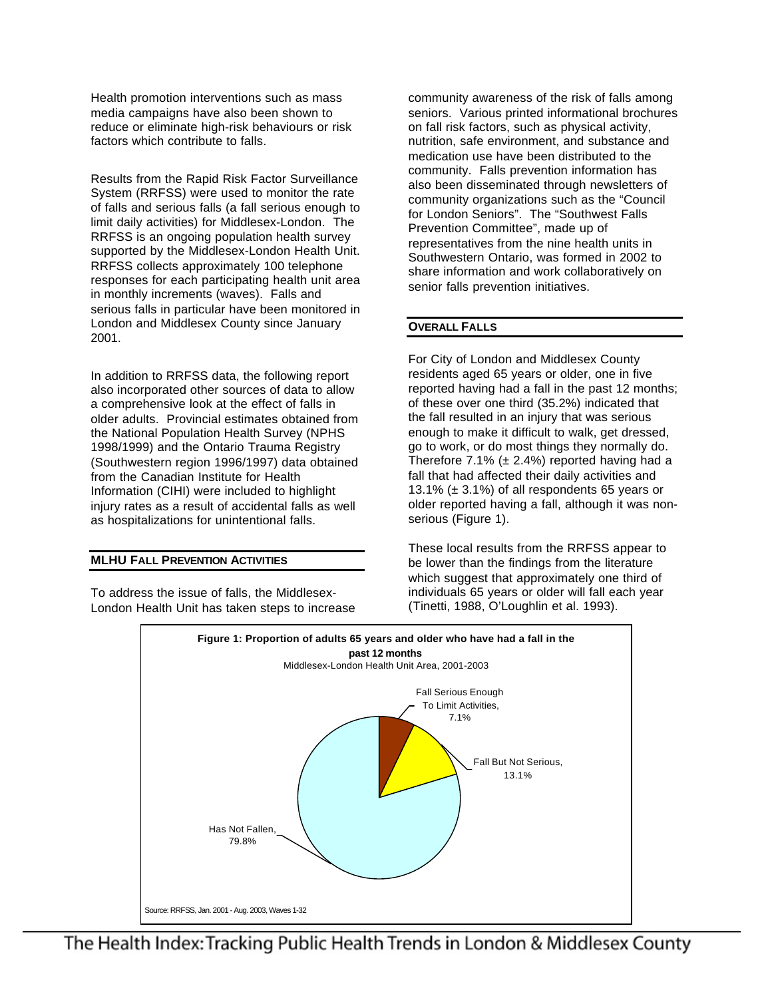Health promotion interventions such as mass media campaigns have also been shown to reduce or eliminate high-risk behaviours or risk factors which contribute to falls.

Results from the Rapid Risk Factor Surveillance System (RRFSS) were used to monitor the rate of falls and serious falls (a fall serious enough to limit daily activities) for Middlesex-London. The RRFSS is an ongoing population health survey supported by the Middlesex-London Health Unit. RRFSS collects approximately 100 telephone responses for each participating health unit area in monthly increments (waves). Falls and serious falls in particular have been monitored in London and Middlesex County since January 2001.

In addition to RRFSS data, the following report also incorporated other sources of data to allow a comprehensive look at the effect of falls in older adults. Provincial estimates obtained from the National Population Health Survey (NPHS 1998/1999) and the Ontario Trauma Registry (Southwestern region 1996/1997) data obtained from the Canadian Institute for Health Information (CIHI) were included to highlight injury rates as a result of accidental falls as well as hospitalizations for unintentional falls.

## **MLHU FALL PREVENTION ACTIVITIES**

To address the issue of falls, the Middlesex-London Health Unit has taken steps to increase community awareness of the risk of falls among seniors. Various printed informational brochures on fall risk factors, such as physical activity, nutrition, safe environment, and substance and medication use have been distributed to the community. Falls prevention information has also been disseminated through newsletters of community organizations such as the "Council for London Seniors". The "Southwest Falls Prevention Committee", made up of representatives from the nine health units in Southwestern Ontario, was formed in 2002 to share information and work collaboratively on senior falls prevention initiatives.

## **OVERALL FALLS**

For City of London and Middlesex County residents aged 65 years or older, one in five reported having had a fall in the past 12 months; of these over one third (35.2%) indicated that the fall resulted in an injury that was serious enough to make it difficult to walk, get dressed, go to work, or do most things they normally do. Therefore 7.1% ( $\pm$  2.4%) reported having had a fall that had affected their daily activities and 13.1% ( $\pm$  3.1%) of all respondents 65 years or older reported having a fall, although it was nonserious (Figure 1).

These local results from the RRFSS appear to be lower than the findings from the literature which suggest that approximately one third of individuals 65 years or older will fall each year (Tinetti, 1988, O'Loughlin et al. 1993).

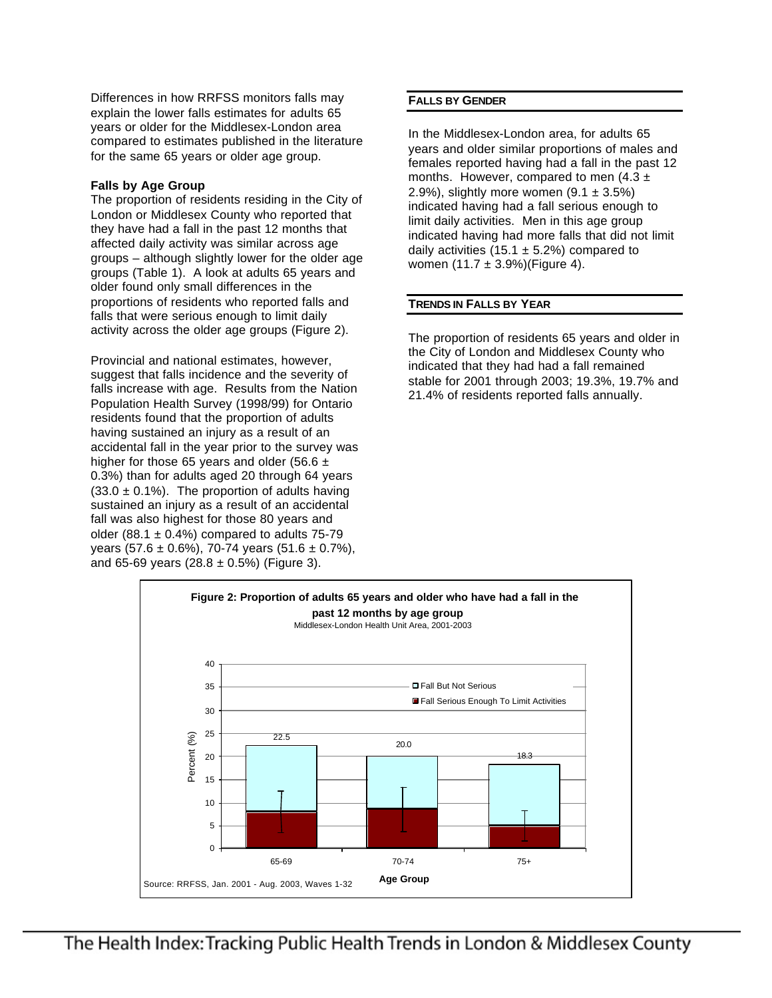Differences in how RRFSS monitors falls may explain the lower falls estimates for adults 65 years or older for the Middlesex-London area compared to estimates published in the literature for the same 65 years or older age group.

# **Falls by Age Group**

The proportion of residents residing in the City of London or Middlesex County who reported that they have had a fall in the past 12 months that affected daily activity was similar across age groups – although slightly lower for the older age groups (Table 1). A look at adults 65 years and older found only small differences in the proportions of residents who reported falls and falls that were serious enough to limit daily activity across the older age groups (Figure 2).

Provincial and national estimates, however, suggest that falls incidence and the severity of falls increase with age. Results from the Nation Population Health Survey (1998/99) for Ontario residents found that the proportion of adults having sustained an injury as a result of an accidental fall in the year prior to the survey was higher for those 65 years and older (56.6  $\pm$ 0.3%) than for adults aged 20 through 64 years  $(33.0 \pm 0.1\%)$ . The proportion of adults having sustained an injury as a result of an accidental fall was also highest for those 80 years and older (88.1  $\pm$  0.4%) compared to adults 75-79 years (57.6  $\pm$  0.6%), 70-74 years (51.6  $\pm$  0.7%), and 65-69 years  $(28.8 \pm 0.5\%)$  (Figure 3).

# **FALLS BY GENDER**

In the Middlesex-London area, for adults 65 years and older similar proportions of males and females reported having had a fall in the past 12 months. However, compared to men  $(4.3 \pm$ 2.9%), slightly more women  $(9.1 \pm 3.5\%)$ indicated having had a fall serious enough to limit daily activities. Men in this age group indicated having had more falls that did not limit daily activities (15.1  $\pm$  5.2%) compared to women  $(11.7 \pm 3.9\%)$  (Figure 4).

# **TRENDS IN FALLS BY YEAR**

The proportion of residents 65 years and older in the City of London and Middlesex County who indicated that they had had a fall remained stable for 2001 through 2003; 19.3%, 19.7% and 21.4% of residents reported falls annually.

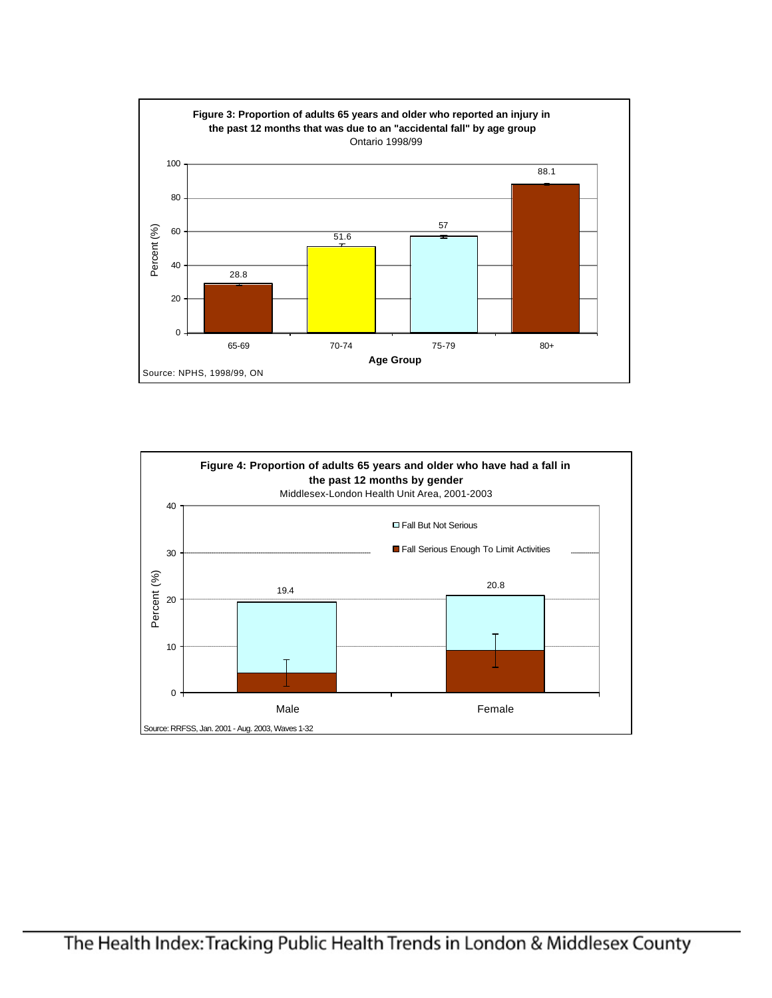

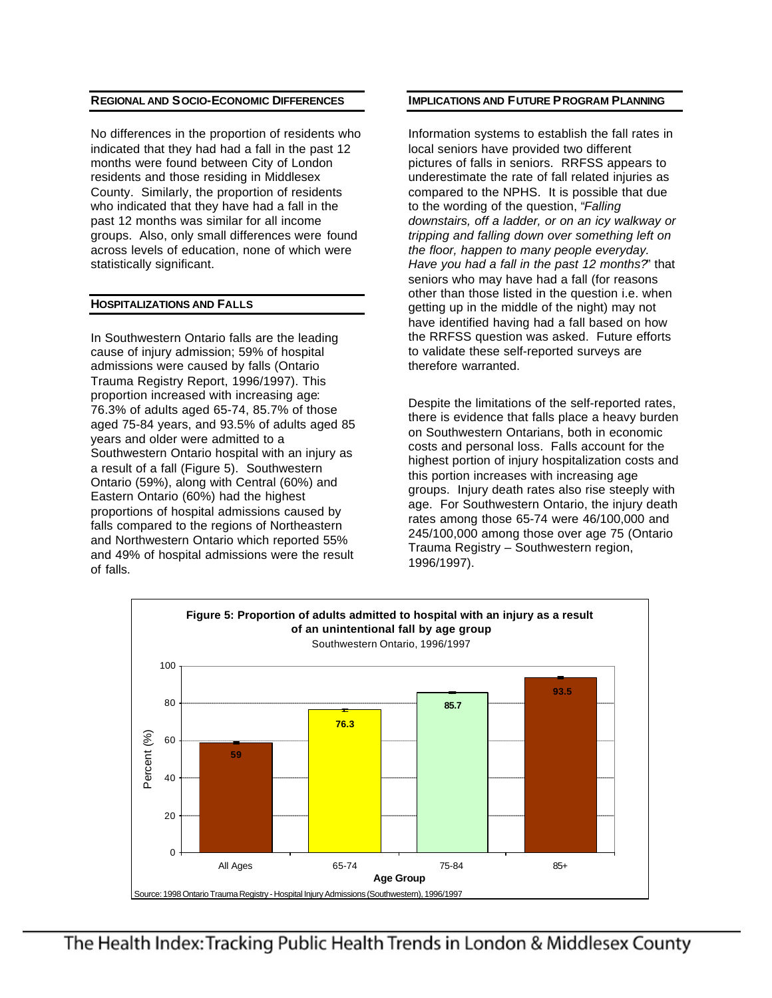## **REGIONAL AND SOCIO-ECONOMIC DIFFERENCES**

No differences in the proportion of residents who indicated that they had had a fall in the past 12 months were found between City of London residents and those residing in Middlesex County. Similarly, the proportion of residents who indicated that they have had a fall in the past 12 months was similar for all income groups. Also, only small differences were found across levels of education, none of which were statistically significant.

#### **HOSPITALIZATIONS AND FALLS**

In Southwestern Ontario falls are the leading cause of injury admission; 59% of hospital admissions were caused by falls (Ontario Trauma Registry Report, 1996/1997). This proportion increased with increasing age: 76.3% of adults aged 65-74, 85.7% of those aged 75-84 years, and 93.5% of adults aged 85 years and older were admitted to a Southwestern Ontario hospital with an injury as a result of a fall (Figure 5). Southwestern Ontario (59%), along with Central (60%) and Eastern Ontario (60%) had the highest proportions of hospital admissions caused by falls compared to the regions of Northeastern and Northwestern Ontario which reported 55% and 49% of hospital admissions were the result of falls.

## **IMPLICATIONS AND FUTURE PROGRAM PLANNING**

Information systems to establish the fall rates in local seniors have provided two different pictures of falls in seniors. RRFSS appears to underestimate the rate of fall related injuries as compared to the NPHS. It is possible that due to the wording of the question, "*Falling downstairs, off a ladder, or on an icy walkway or tripping and falling down over something left on the floor, happen to many people everyday. Have you had a fall in the past 12 months?*" that seniors who may have had a fall (for reasons other than those listed in the question i.e. when getting up in the middle of the night) may not have identified having had a fall based on how the RRFSS question was asked. Future efforts to validate these self-reported surveys are therefore warranted.

Despite the limitations of the self-reported rates, there is evidence that falls place a heavy burden on Southwestern Ontarians, both in economic costs and personal loss. Falls account for the highest portion of injury hospitalization costs and this portion increases with increasing age groups. Injury death rates also rise steeply with age. For Southwestern Ontario, the injury death rates among those 65-74 were 46/100,000 and 245/100,000 among those over age 75 (Ontario Trauma Registry – Southwestern region, 1996/1997).

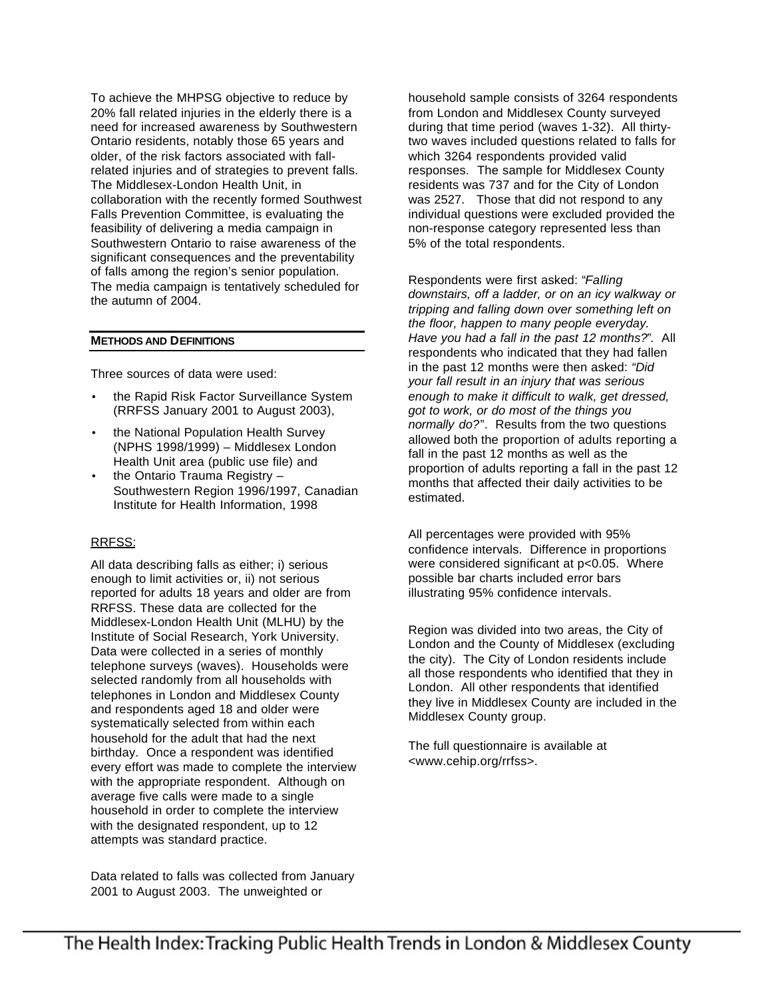To achieve the MHPSG objective to reduce by 20% fall related injuries in the elderly there is a need for increased awareness by Southwestern Ontario residents, notably those 65 years and older, of the risk factors associated with fallrelated injuries and of strategies to prevent falls. The Middlesex-London Health Unit, in collaboration with the recently formed Southwest Falls Prevention Committee, is evaluating the feasibility of delivering a media campaign in Southwestern Ontario to raise awareness of the significant consequences and the preventability of falls among the region's senior population. The media campaign is tentatively scheduled for the autumn of 2004.

### **METHODS AND DEFINITIONS**

Three sources of data were used:

- the Rapid Risk Factor Surveillance System (RRFSS January 2001 to August 2003),
- the National Population Health Survey (NPHS 1998/1999) – Middlesex London Health Unit area (public use file) and
- the Ontario Trauma Registry Southwestern Region 1996/1997, Canadian Institute for Health Information, 1998

## RRFSS:

All data describing falls as either; i) serious enough to limit activities or, ii) not serious reported for adults 18 years and older are from RRFSS. These data are collected for the Middlesex-London Health Unit (MLHU) by the Institute of Social Research, York University. Data were collected in a series of monthly telephone surveys (waves). Households were selected randomly from all households with telephones in London and Middlesex County and respondents aged 18 and older were systematically selected from within each household for the adult that had the next birthday. Once a respondent was identified every effort was made to complete the interview with the appropriate respondent. Although on average five calls were made to a single household in order to complete the interview with the designated respondent, up to 12 attempts was standard practice.

Data related to falls was collected from January 2001 to August 2003. The unweighted or

household sample consists of 3264 respondents from London and Middlesex County surveyed during that time period (waves 1-32). All thirtytwo waves included questions related to falls for which 3264 respondents provided valid responses. The sample for Middlesex County residents was 737 and for the City of London was 2527. Those that did not respond to any individual questions were excluded provided the non-response category represented less than 5% of the total respondents.

Respondents were first asked: "*Falling downstairs, off a ladder, or on an icy walkway or tripping and falling down over something left on the floor, happen to many people everyday. Have you had a fall in the past 12 months?"*. All respondents who indicated that they had fallen in the past 12 months were then asked: *"Did your fall result in an injury that was serious enough to make it difficult to walk, get dressed, got to work, or do most of the things you normally do?*". Results from the two questions allowed both the proportion of adults reporting a fall in the past 12 months as well as the proportion of adults reporting a fall in the past 12 months that affected their daily activities to be estimated.

All percentages were provided with 95% confidence intervals. Difference in proportions were considered significant at p<0.05. Where possible bar charts included error bars illustrating 95% confidence intervals.

Region was divided into two areas, the City of London and the County of Middlesex (excluding the city). The City of London residents include all those respondents who identified that they in London. All other respondents that identified they live in Middlesex County are included in the Middlesex County group.

The full questionnaire is available at <www.cehip.org/rrfss>.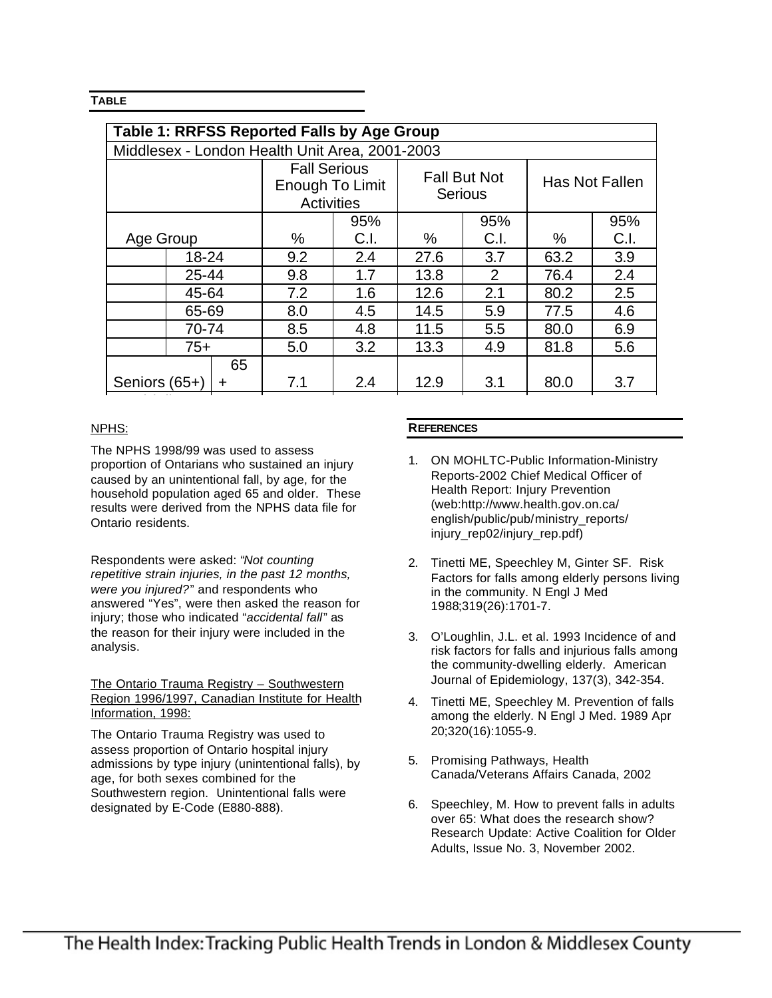# **TABLE**

| <b>Table 1: RRFSS Reported Falls by Age Group</b> |           |                                                      |      |                                |      |                |      |     |  |  |
|---------------------------------------------------|-----------|------------------------------------------------------|------|--------------------------------|------|----------------|------|-----|--|--|
| Middlesex - London Health Unit Area, 2001-2003    |           |                                                      |      |                                |      |                |      |     |  |  |
|                                                   |           | <b>Fall Serious</b><br>Enough To Limit<br>Activities |      | <b>Fall But Not</b><br>Serious |      | Has Not Fallen |      |     |  |  |
|                                                   |           |                                                      | 95%  |                                | 95%  |                | 95%  |     |  |  |
| Age Group                                         |           | %                                                    | C.I. | %                              | C.I. | $\%$           | C.I. |     |  |  |
|                                                   | $18 - 24$ |                                                      | 9.2  | 2.4                            | 27.6 | 3.7            | 63.2 | 3.9 |  |  |
|                                                   | 25-44     |                                                      | 9.8  | 1.7                            | 13.8 | 2              | 76.4 | 2.4 |  |  |
|                                                   | 45-64     |                                                      | 7.2  | 1.6                            | 12.6 | 2.1            | 80.2 | 2.5 |  |  |
| 65-69                                             |           | 8.0                                                  | 4.5  | 14.5                           | 5.9  | 77.5           | 4.6  |     |  |  |
| 70-74                                             |           | 8.5                                                  | 4.8  | 11.5                           | 5.5  | 80.0           | 6.9  |     |  |  |
|                                                   | $75+$     |                                                      | 5.0  | 3.2                            | 13.3 | 4.9            | 81.8 | 5.6 |  |  |
| Seniors (65+)                                     |           | 65<br>+                                              | 7.1  | 2.4                            | 12.9 | 3.1            | 80.0 | 3.7 |  |  |

## NPHS:

The NPHS 1998/99 was used to assess proportion of Ontarians who sustained an injury caused by an unintentional fall, by age, for the household population aged 65 and older. These results were derived from the NPHS data file for Ontario residents.

Total (All 18

Respondents were asked: "*Not counting repetitive strain injuries, in the past 12 months, were you injured?*" and respondents who answered "Yes", were then asked the reason for injury; those who indicated "*accidental fall*" as the reason for their injury were included in the analysis.

The Ontario Trauma Registry – Southwestern Region 1996/1997, Canadian Institute for Health Information, 1998:

The Ontario Trauma Registry was used to assess proportion of Ontario hospital injury admissions by type injury (unintentional falls), by age, for both sexes combined for the Southwestern region. Unintentional falls were designated by E-Code (E880-888).

## **REFERENCES**

- 1. ON MOHLTC-Public Information-Ministry Reports-2002 Chief Medical Officer of Health Report: Injury Prevention (web:http://www.health.gov.on.ca/ english/public/pub/ministry\_reports/ injury\_rep02/injury\_rep.pdf)
- 2. Tinetti ME, Speechley M, Ginter SF. Risk Factors for falls among elderly persons living in the community. N Engl J Med 1988;319(26):1701-7.
- 3. O'Loughlin, J.L. et al. 1993 Incidence of and risk factors for falls and injurious falls among the community-dwelling elderly. American Journal of Epidemiology, 137(3), 342-354.
- 4. Tinetti ME, Speechley M. Prevention of falls among the elderly. N Engl J Med. 1989 Apr 20;320(16):1055-9.
- 5. Promising Pathways, Health Canada/Veterans Affairs Canada, 2002
- 6. Speechley, M. How to prevent falls in adults over 65: What does the research show? Research Update: Active Coalition for Older Adults, Issue No. 3, November 2002.